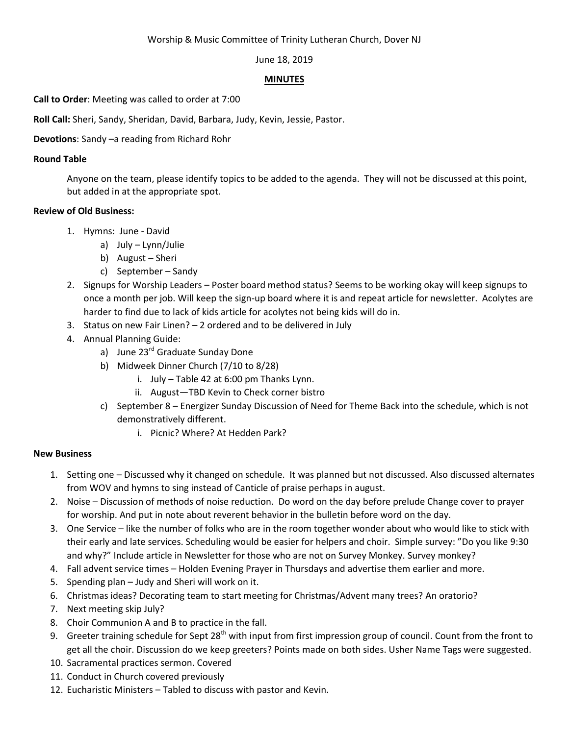### Worship & Music Committee of Trinity Lutheran Church, Dover NJ

#### June 18, 2019

#### **MINUTES**

**Call to Order**: Meeting was called to order at 7:00

**Roll Call:** Sheri, Sandy, Sheridan, David, Barbara, Judy, Kevin, Jessie, Pastor.

## **Devotions**: Sandy –a reading from Richard Rohr

### **Round Table**

Anyone on the team, please identify topics to be added to the agenda. They will not be discussed at this point, but added in at the appropriate spot.

## **Review of Old Business:**

- 1. Hymns: June David
	- a) July Lynn/Julie
	- b) August Sheri
	- c) September Sandy
- 2. Signups for Worship Leaders Poster board method status? Seems to be working okay will keep signups to once a month per job. Will keep the sign-up board where it is and repeat article for newsletter. Acolytes are harder to find due to lack of kids article for acolytes not being kids will do in.
- 3. Status on new Fair Linen? 2 ordered and to be delivered in July
- 4. Annual Planning Guide:
	- a) June 23<sup>rd</sup> Graduate Sunday Done
	- b) Midweek Dinner Church (7/10 to 8/28)
		- i. July Table 42 at 6:00 pm Thanks Lynn.
		- ii. August—TBD Kevin to Check corner bistro
	- c) September 8 Energizer Sunday Discussion of Need for Theme Back into the schedule, which is not demonstratively different.
		- i. Picnic? Where? At Hedden Park?

# **New Business**

- 1. Setting one Discussed why it changed on schedule. It was planned but not discussed. Also discussed alternates from WOV and hymns to sing instead of Canticle of praise perhaps in august.
- 2. Noise Discussion of methods of noise reduction. Do word on the day before prelude Change cover to prayer for worship. And put in note about reverent behavior in the bulletin before word on the day.
- 3. One Service like the number of folks who are in the room together wonder about who would like to stick with their early and late services. Scheduling would be easier for helpers and choir. Simple survey: "Do you like 9:30 and why?" Include article in Newsletter for those who are not on Survey Monkey. Survey monkey?
- 4. Fall advent service times Holden Evening Prayer in Thursdays and advertise them earlier and more.
- 5. Spending plan Judy and Sheri will work on it.
- 6. Christmas ideas? Decorating team to start meeting for Christmas/Advent many trees? An oratorio?
- 7. Next meeting skip July?
- 8. Choir Communion A and B to practice in the fall.
- 9. Greeter training schedule for Sept  $28<sup>th</sup>$  with input from first impression group of council. Count from the front to get all the choir. Discussion do we keep greeters? Points made on both sides. Usher Name Tags were suggested.
- 10. Sacramental practices sermon. Covered
- 11. Conduct in Church covered previously
- 12. Eucharistic Ministers Tabled to discuss with pastor and Kevin.